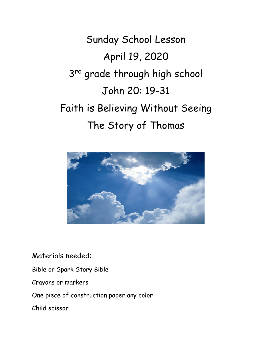Sunday School Lesson April 19, 2020 3<sup>rd</sup> grade through high school John 20: 19-31 Faith is Believing Without Seeing The Story of Thomas



Materials needed:

Bible or Spark Story Bible

Crayons or markers

One piece of construction paper any color

Child scissor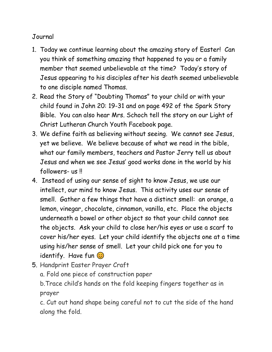## Journal

- 1. Today we continue learning about the amazing story of Easter! Can you think of something amazing that happened to you or a family member that seemed unbelievable at the time? Today's story of Jesus appearing to his disciples after his death seemed unbelievable to one disciple named Thomas.
- 2. Read the Story of "Doubting Thomas" to your child or with your child found in John 20: 19-31 and on page 492 of the Spark Story Bible. You can also hear Mrs. Schoch tell the story on our Light of Christ Lutheran Church Youth Facebook page.
- 3. We define faith as believing without seeing. We cannot see Jesus, yet we believe. We believe because of what we read in the bible, what our family members, teachers and Pastor Jerry tell us about Jesus and when we see Jesus' good works done in the world by his followers- us !!
- 4. Instead of using our sense of sight to know Jesus, we use our intellect, our mind to know Jesus. This activity uses our sense of smell. Gather a few things that have a distinct smell: an orange, a lemon, vinegar, chocolate, cinnamon, vanilla, etc. Place the objects underneath a bowel or other object so that your child cannot see the objects. Ask your child to close her/his eyes or use a scarf to cover his/her eyes. Let your child identify the objects one at a time using his/her sense of smell. Let your child pick one for you to identify. Have fun  $\odot$
- 5. Handprint Easter Prayer Craft

a. Fold one piece of construction paper

b.Trace child's hands on the fold keeping fingers together as in prayer

c. Cut out hand shape being careful not to cut the side of the hand along the fold.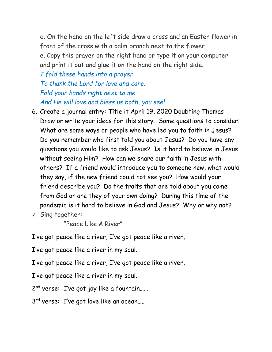d. On the hand on the left side draw a cross and an Easter flower in front of the cross with a palm branch next to the flower.

e. Copy this prayer on the right hand or type it on your computer and print it out and glue it on the hand on the right side.

*I fold these hands into a prayer To thank the Lord for love and care. Fold your hands right next to me And He will love and bless us both, you see!*

- 6. Create a journal entry: Title it April 19, 2020 Doubting Thomas Draw or write your ideas for this story. Some questions to consider: What are some ways or people who have led you to faith in Jesus? Do you remember who first told you about Jesus? Do you have any questions you would like to ask Jesus? Is it hard to believe in Jesus without seeing Him? How can we share our faith in Jesus with others? If a friend would introduce you to someone new, what would they say, if the new friend could not see you? How would your friend describe you? Do the traits that are told about you come from God or are they of your own doing? During this time of the pandemic is it hard to believe in God and Jesus? Why or why not?
- *7.* Sing together:

"Peace Like A River"

I've got peace like a river, I've got peace like a river,

I've got peace like a river in my soul.

I've got peace like a river, I've got peace like a river,

I've got peace like a river in my soul.

2 nd verse: I've got joy like a fountain……

3<sup>rd</sup> verse: I've got love like an ocean......